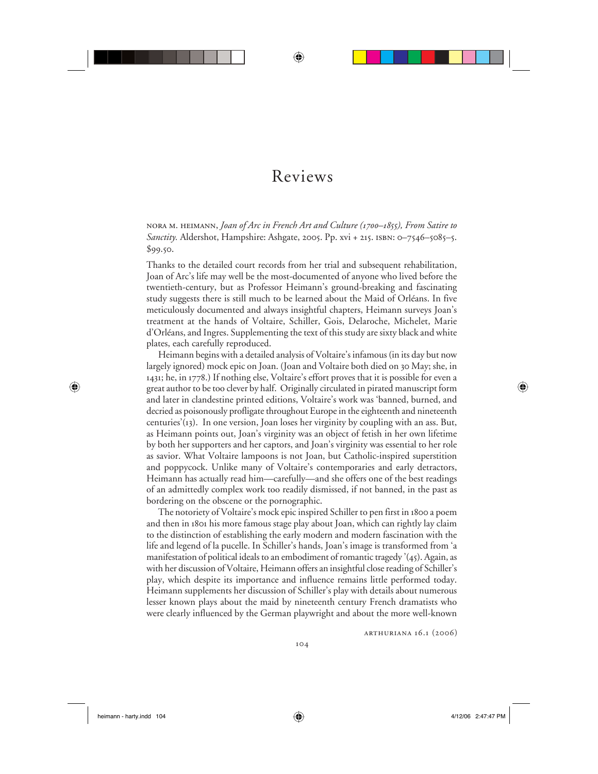## Reviews

⊕

nora m. heimann, *Joan of Arc in French Art and Culture (1700–1855), From Satire to Sanctity.* Aldershot, Hampshire: Ashgate, 2005. Pp. xvi + 215. isbn: 0–7546–5085–5. \$99.50.

Thanks to the detailed court records from her trial and subsequent rehabilitation, Joan of Arc's life may well be the most-documented of anyone who lived before the twentieth-century, but as Professor Heimann's ground-breaking and fascinating study suggests there is still much to be learned about the Maid of Orléans. In five meticulously documented and always insightful chapters, Heimann surveys Joan's treatment at the hands of Voltaire, Schiller, Gois, Delaroche, Michelet, Marie d'Orléans, and Ingres. Supplementing the text of this study are sixty black and white plates, each carefully reproduced.

Heimann begins with a detailed analysis of Voltaire's infamous (in its day but now largely ignored) mock epic on Joan. (Joan and Voltaire both died on 30 May; she, in 1431; he, in 1778.) If nothing else, Voltaire's effort proves that it is possible for even a great author to be too clever by half. Originally circulated in pirated manuscript form and later in clandestine printed editions, Voltaire's work was 'banned, burned, and decried as poisonously profligate throughout Europe in the eighteenth and nineteenth centuries'(13). In one version, Joan loses her virginity by coupling with an ass. But, as Heimann points out, Joan's virginity was an object of fetish in her own lifetime by both her supporters and her captors, and Joan's virginity was essential to her role as savior. What Voltaire lampoons is not Joan, but Catholic-inspired superstition and poppycock. Unlike many of Voltaire's contemporaries and early detractors, Heimann has actually read him—carefully—and she offers one of the best readings of an admittedly complex work too readily dismissed, if not banned, in the past as bordering on the obscene or the pornographic.

The notoriety of Voltaire's mock epic inspired Schiller to pen first in 1800 a poem and then in 1801 his more famous stage play about Joan, which can rightly lay claim to the distinction of establishing the early modern and modern fascination with the life and legend of la pucelle. In Schiller's hands, Joan's image is transformed from 'a manifestation of political ideals to an embodiment of romantic tragedy '(45). Again, as with her discussion of Voltaire, Heimann offers an insightful close reading of Schiller's play, which despite its importance and influence remains little performed today. Heimann supplements her discussion of Schiller's play with details about numerous lesser known plays about the maid by nineteenth century French dramatists who were clearly influenced by the German playwright and about the more well-known

arthuriana 16.1 (2006)

 $\bigoplus$ 

⊕